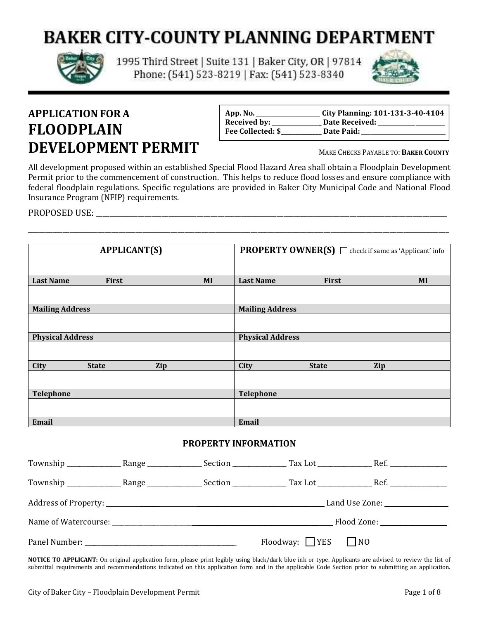# **BAKER CITY-COUNTY PLANNING DEPARTMENT**



1995 Third Street | Suite 131 | Baker City, OR | 97814 Phone: (541) 523-8219 | Fax: (541) 523-8340



## **APPLICATIONFOR A FLOODPLAIN DEVELOPMENT PERMIT**

| App. No.          | <b>City Planning: 101-131-3-40-4104</b> |
|-------------------|-----------------------------------------|
| Received by:      | Date Received:                          |
| Fee Collected: \$ | Date Paid:                              |

MAKE CHECKS PAYABLE TO: **BAKER COUNTY**

All development proposed within an established Special Flood Hazard Area shall obtain a Floodplain Development Permit prior to the commencement of construction. This helps to reduce flood losses and ensure compliance with federal floodplain regulations. Specific regulations are provided in Baker City Municipal Code and National Flood Insurance Program (NFIP) requirements.

\_\_\_\_\_\_\_\_\_\_\_\_\_\_\_\_\_\_\_\_\_\_\_\_\_\_\_\_\_\_\_\_\_\_\_\_\_\_\_\_\_\_\_\_\_\_\_\_\_\_\_\_\_\_\_\_\_\_\_\_\_\_\_\_\_\_\_\_\_\_\_\_\_\_\_\_\_\_\_\_\_\_\_\_\_\_\_\_\_\_\_\_\_\_\_\_\_\_\_\_\_\_\_\_\_\_\_\_\_\_\_\_\_\_\_\_\_\_\_\_\_

PROPOSED USE: with the state of the state of the state of the state of the state of the state of the state of the state of the state of the state of the state of the state of the state of the state of the state of the stat

| <b>APPLICANT(S)</b>                             |              | <b>PROPERTY OWNER(S)</b> $\Box$ check if same as 'Applicant' info |                         |              |     |
|-------------------------------------------------|--------------|-------------------------------------------------------------------|-------------------------|--------------|-----|
| <b>Last Name</b>                                | First        | MI                                                                | <b>Last Name</b>        | First        | MI  |
|                                                 |              |                                                                   |                         |              |     |
| <b>Mailing Address</b>                          |              |                                                                   | <b>Mailing Address</b>  |              |     |
|                                                 |              |                                                                   |                         |              |     |
| <b>Physical Address</b>                         |              |                                                                   | <b>Physical Address</b> |              |     |
|                                                 |              |                                                                   |                         |              |     |
| City                                            | <b>State</b> | Zip                                                               | City                    | <b>State</b> | Zip |
|                                                 |              |                                                                   |                         |              |     |
| <b>Telephone</b>                                |              |                                                                   | Telephone               |              |     |
|                                                 |              |                                                                   |                         |              |     |
| Email                                           |              |                                                                   | Email                   |              |     |
| <b>PROPERTY INFORMATION</b><br>$\sim$<br>$\sim$ |              |                                                                   |                         |              |     |

|  |                                | Land Use Zone: ________________ |  |
|--|--------------------------------|---------------------------------|--|
|  |                                | Flood Zone: ________________    |  |
|  | Floodway: $\Box$ YES $\Box$ NO |                                 |  |

**NOTICE TO APPLICANT:** On original application form, please print legibly using black/dark blue ink or type. Applicants are advised to review the list of submittal requirements and recommendations indicated on this application form and in the applicable Code Section prior to submitting an application.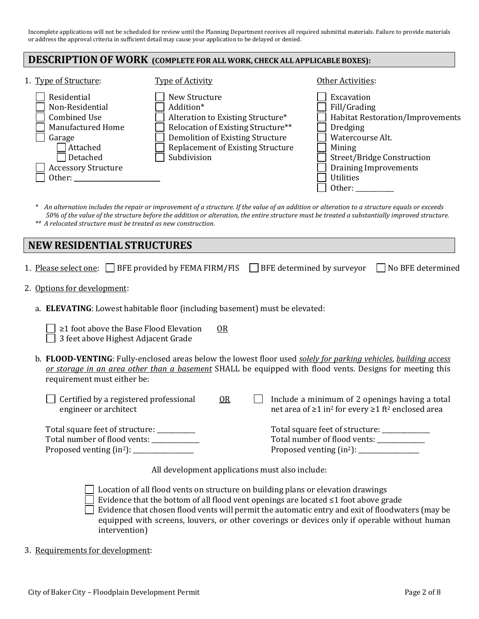Incomplete applications will not be scheduled for review until the Planning Department receives all required submittal materials. Failure to provide materials or address the approval criteria in sufficient detail may cause your application to be delayed or denied.

#### **DESCRIPTIONOF WORK (COMPLETE FOR ALL WORK, CHECK ALL APPLICABLE BOXES):**

| 1. Type of Structure:                                                                                                                                | <b>Type of Activity</b>                                                                                                                                                                              | Other Activities:                                                                                                                                                                                                  |
|------------------------------------------------------------------------------------------------------------------------------------------------------|------------------------------------------------------------------------------------------------------------------------------------------------------------------------------------------------------|--------------------------------------------------------------------------------------------------------------------------------------------------------------------------------------------------------------------|
| Residential<br>Non-Residential<br><b>Combined Use</b><br>Manufactured Home<br>Garage<br>Attached<br>Detached<br><b>Accessory Structure</b><br>Other: | New Structure<br>Addition*<br>Alteration to Existing Structure*<br>Relocation of Existing Structure**<br>Demolition of Existing Structure<br><b>Replacement of Existing Structure</b><br>Subdivision | Excavation<br>Fill/Grading<br><b>Habitat Restoration/Improvements</b><br><b>Dredging</b><br>Watercourse Alt.<br>Mining<br>Street/Bridge Construction<br><b>Draining Improvements</b><br><b>Utilities</b><br>Other: |

*\* An alternation includes the repair or improvement of a structure. If the value of an addition or alteration to a structure equals or exceeds 50% of the value of the structure before the addition or alteration, the entire structure must be treated a substantially improved structure. \*\* A relocated structure must be treated as new construction.* 

## **NEW RESIDENTIAL STRUCTURES**

| 1. Please select one:   BFE provided by FEMA FIRM/FIS                                     | BFE determined by surveyor $\Box$<br>No BFE determined                                                                                                                                                                             |  |
|-------------------------------------------------------------------------------------------|------------------------------------------------------------------------------------------------------------------------------------------------------------------------------------------------------------------------------------|--|
| 2. Options for development:                                                               |                                                                                                                                                                                                                                    |  |
| a. <b>ELEVATING</b> : Lowest habitable floor (including basement) must be elevated:       |                                                                                                                                                                                                                                    |  |
| $\geq$ 1 foot above the Base Flood Elevation<br>OR<br>3 feet above Highest Adjacent Grade |                                                                                                                                                                                                                                    |  |
| requirement must either be:                                                               | b. FLOOD-VENTING: Fully-enclosed areas below the lowest floor used <i>solely for parking vehicles, building access</i><br>or storage in an area other than a basement SHALL be equipped with flood vents. Designs for meeting this |  |
| Certified by a registered professional<br>0R<br>engineer or architect                     | Include a minimum of 2 openings having a total<br>net area of $\geq 1$ in <sup>2</sup> for every $\geq 1$ ft <sup>2</sup> enclosed area                                                                                            |  |
| Total square feet of structure: __________<br>Total number of flood vents: __________     | Total square feet of structure: _____________<br>Total number of flood vents: ___________                                                                                                                                          |  |

All development applications must also include:

 $\Box$  Location of all flood vents on structure on building plans or elevation drawings Evidence that the bottom of all flood vent openings are located ≤1 foot above grade **Evidence that chosen flood vents will permit the automatic entry and exit of floodwaters (may be** equipped with screens, louvers, or other coverings or devices only if operable without human intervention)

3. Requirements for development: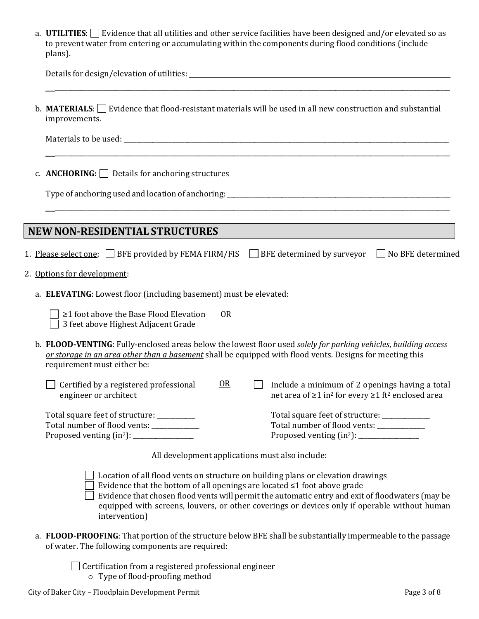| a. <b>UTILITIES</b> : $\Box$ Evidence that all utilities and other service facilities have been designed and/or elevated so as |
|--------------------------------------------------------------------------------------------------------------------------------|
| to prevent water from entering or accumulating within the components during flood conditions (include                          |
| plans).                                                                                                                        |

| b. <b>MATERIALS</b> : $\Box$ Evidence that flood-resistant materials will be used in all new construction and substantial<br>improvements.                                                                                                                                                                                                                                              |
|-----------------------------------------------------------------------------------------------------------------------------------------------------------------------------------------------------------------------------------------------------------------------------------------------------------------------------------------------------------------------------------------|
|                                                                                                                                                                                                                                                                                                                                                                                         |
| c. ANCHORING: $\Box$ Details for anchoring structures                                                                                                                                                                                                                                                                                                                                   |
|                                                                                                                                                                                                                                                                                                                                                                                         |
| <b>NEW NON-RESIDENTIAL STRUCTURES</b>                                                                                                                                                                                                                                                                                                                                                   |
| 1. Please select one: $\Box$ BFE provided by FEMA FIRM/FIS $\Box$ BFE determined by surveyor $\Box$ No BFE determined                                                                                                                                                                                                                                                                   |
| 2. Options for development:                                                                                                                                                                                                                                                                                                                                                             |
| a. ELEVATING: Lowest floor (including basement) must be elevated:                                                                                                                                                                                                                                                                                                                       |
| ≥1 foot above the Base Flood Elevation<br>OR<br>3 feet above Highest Adjacent Grade                                                                                                                                                                                                                                                                                                     |
| b. FLOOD-VENTING: Fully-enclosed areas below the lowest floor used solely for parking vehicles, building access<br>or storage in an area other than a basement shall be equipped with flood vents. Designs for meeting this<br>requirement must either be:                                                                                                                              |
| $OR$<br>Certified by a registered professional<br>Include a minimum of 2 openings having a total<br>engineer or architect<br>net area of ≥1 in <sup>2</sup> for every ≥1 ft <sup>2</sup> enclosed area                                                                                                                                                                                  |
| Total square feet of structure: ____________<br>Total square feet of structure: _________<br>Total number of flood vents: ___________<br>Total number of flood vents: ___________<br>Proposed venting (in <sup>2</sup> ): ______________                                                                                                                                                |
| All development applications must also include:                                                                                                                                                                                                                                                                                                                                         |
| Location of all flood vents on structure on building plans or elevation drawings<br>Evidence that the bottom of all openings are located $\leq 1$ foot above grade<br>Evidence that chosen flood vents will permit the automatic entry and exit of floodwaters (may be<br>equipped with screens, louvers, or other coverings or devices only if operable without human<br>intervention) |
|                                                                                                                                                                                                                                                                                                                                                                                         |

- a. **FLOOD-PROOFING**: That portion of the structure below BFE shall be substantially impermeable to the passage of water. The following components are required:
	- Certification from a registered professional engineer o Type of flood-proofing method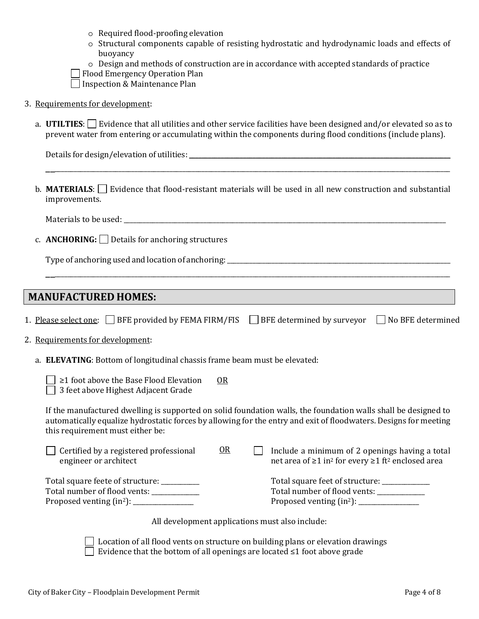|  |  |  | o Required flood-proofing elevation |
|--|--|--|-------------------------------------|
|--|--|--|-------------------------------------|

- o Structural components capable of resisting hydrostatic and hydrodynamic loads and effects of buoyancy
- o Design and methods of construction are in accordance with accepted standards of practice

Flood Emergency Operation Plan

Inspection & Maintenance Plan

#### 3. Requirements for development:

a. **UTILTIES**:  $\Box$  Evidence that all utilities and other service facilities have been designed and/or elevated so as to prevent water from entering or accumulating within the components during flood conditions (include plans).

| Details for design/elevation of utilities: |  |
|--------------------------------------------|--|
|                                            |  |

b. **MATERIALS**:  $\Box$  Evidence that flood-resistant materials will be used in all new construction and substantial improvements.

\_\_\_\_\_\_\_\_\_\_\_\_\_\_\_\_\_\_\_\_\_\_\_\_\_\_\_\_\_\_\_\_\_\_\_\_\_\_\_\_\_\_\_\_\_\_\_\_\_\_\_\_\_\_\_\_\_\_\_\_\_\_\_\_\_\_\_\_\_\_\_\_\_\_\_\_\_\_\_\_\_\_\_\_\_\_\_\_\_\_\_\_\_\_\_\_\_\_\_\_\_\_\_\_\_\_\_\_\_\_\_\_\_\_\_\_\_\_\_\_\_\_\_\_\_\_

Materials to be used:

c. **ANCHORING:** Details for anchoring structures

Type of anchoring used and location of anchoring:

## **MANUFACTURED HOMES:**

1. Please select one:  $\Box$  BFE provided by FEMA FIRM/FIS  $\Box$  BFE determined by surveyor  $\Box$  No BFE determined

\_\_\_\_\_\_\_\_\_\_\_\_\_\_\_\_\_\_\_\_\_\_\_\_\_\_\_\_\_\_\_\_\_\_\_\_\_\_\_\_\_\_\_\_\_\_\_\_\_\_\_\_\_\_\_\_\_\_\_\_\_\_\_\_\_\_\_\_\_\_\_\_\_\_\_\_\_\_\_\_\_\_\_\_\_\_\_\_\_\_\_\_\_\_\_\_\_\_\_\_\_\_\_\_\_\_\_\_\_\_\_\_\_\_\_\_\_\_\_\_\_\_\_\_\_\_

#### 2. Requirements for development:

a. **ELEVATING**: Bottom of longitudinal chassis frame beam must be elevated:

| $\geq$ 1 foot above the Base Flood Elevation | OR. |
|----------------------------------------------|-----|
| 3 feet above Highest Adjacent Grade          |     |

If the manufactured dwelling is supported on solid foundation walls, the foundation walls shall be designed to automatically equalize hydrostatic forces by allowing for the entry and exit of floodwaters. Designs for meeting this requirement must either be:

| Certified by a registered professional<br>engineer or architect           | OR | Include a minimum of 2 openings having a total<br>net area of ≥1 in <sup>2</sup> for every ≥1 ft <sup>2</sup> enclosed area |
|---------------------------------------------------------------------------|----|-----------------------------------------------------------------------------------------------------------------------------|
| Total square feete of structure: ________<br>Total number of flood vents: |    | Total square feet of structure: ___________<br>Total number of flood vents:                                                 |

All development applications must also include:

 Location of all flood vents on structure on building plans or elevation drawings Evidence that the bottom of all openings are located ≤1 foot above grade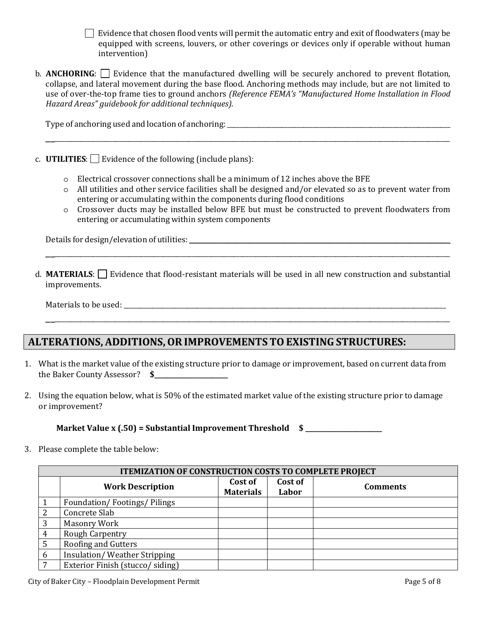**Evidence that chosen flood vents will permit the automatic entry and exit of floodwaters (may be** equipped with screens, louvers, or other coverings or devices only if operable without human intervention)

b. **ANCHORING**: Evidence that the manufactured dwelling will be securely anchored to prevent flotation, collapse, and lateral movement during the base flood. Anchoring methods may include, but are not limited to use of over-the-top frame ties to ground anchors *(Reference FEMA's "Manufactured Home Installation in Flood Hazard Areas" guidebook for additional techniques).*

\_\_\_\_\_\_\_\_\_\_\_\_\_\_\_\_\_\_\_\_\_\_\_\_\_\_\_\_\_\_\_\_\_\_\_\_\_\_\_\_\_\_\_\_\_\_\_\_\_\_\_\_\_\_\_\_\_\_\_\_\_\_\_\_\_\_\_\_\_\_\_\_\_\_\_\_\_\_\_\_\_\_\_\_\_\_\_\_\_\_\_\_\_\_\_\_\_\_\_\_\_\_\_\_\_\_\_\_\_\_\_\_\_\_\_\_\_\_\_\_\_\_\_\_\_\_

Type of anchoring used and location of anchoring: \_\_\_\_\_\_\_\_\_\_\_\_\_\_\_\_\_\_\_\_\_\_\_\_\_\_\_\_\_\_\_\_\_\_\_\_\_\_\_\_\_\_\_\_\_\_\_\_\_\_\_\_\_\_\_\_\_\_\_\_\_\_\_\_\_\_\_\_\_\_

- c. **UTILITIES**:  $\Box$  Evidence of the following (include plans):
	- $\circ$  Electrical crossover connections shall be a minimum of 12 inches above the BFE
	- o All utilities and other service facilities shall be designed and/or elevated so as to prevent water from entering or accumulating within the components during flood conditions
	- o Crossover ducts may be installed below BFE but must be constructed to prevent floodwaters from entering or accumulating within system components

Details for design/elevation of utilities: \_\_\_\_\_\_\_\_\_\_\_\_\_\_\_\_\_\_\_\_\_\_\_\_\_\_\_\_\_\_\_\_\_\_\_\_\_\_\_\_\_\_\_\_\_\_\_\_\_\_\_\_\_\_\_\_\_\_\_\_\_\_\_\_\_\_\_\_\_\_\_\_\_\_\_\_\_\_\_\_\_\_

d. **MATERIALS**: Evidence that flood-resistant materials will be used in all new construction and substantial improvements.

\_\_\_\_\_\_\_\_\_\_\_\_\_\_\_\_\_\_\_\_\_\_\_\_\_\_\_\_\_\_\_\_\_\_\_\_\_\_\_\_\_\_\_\_\_\_\_\_\_\_\_\_\_\_\_\_\_\_\_\_\_\_\_\_\_\_\_\_\_\_\_\_\_\_\_\_\_\_\_\_\_\_\_\_\_\_\_\_\_\_\_\_\_\_\_\_\_\_\_\_\_\_\_\_\_\_\_\_\_\_\_\_\_\_\_\_\_\_\_\_\_\_\_\_\_\_

\_\_\_\_\_\_\_\_\_\_\_\_\_\_\_\_\_\_\_\_\_\_\_\_\_\_\_\_\_\_\_\_\_\_\_\_\_\_\_\_\_\_\_\_\_\_\_\_\_\_\_\_\_\_\_\_\_\_\_\_\_\_\_\_\_\_\_\_\_\_\_\_\_\_\_\_\_\_\_\_\_\_\_\_\_\_\_\_\_\_\_\_\_\_\_\_\_\_\_\_\_\_\_\_\_\_\_\_\_\_\_\_\_\_\_\_\_\_\_\_\_\_\_\_\_\_

Materials to be used: \_\_\_\_\_\_\_\_\_\_\_\_\_\_\_\_\_\_\_\_\_\_\_\_\_\_\_\_\_\_\_\_\_\_\_\_\_\_\_\_\_\_\_\_\_\_\_\_\_\_\_\_\_\_\_\_\_\_\_\_\_\_\_\_\_\_\_\_\_\_\_\_\_\_\_\_\_\_\_\_\_\_\_\_\_\_\_\_\_\_\_\_\_\_\_\_\_\_\_\_\_

## **ALTERATIONS, ADDITIONS,OR IMPROVEMENTS TOEXISTING STRUCTURES:**

- 1. What is the market value of the existing structure prior to damage or improvement, based on current data from the Baker County Assessor? **\$\_\_\_\_\_\_\_\_\_\_\_\_\_\_\_\_\_\_\_\_\_\_\_**
- 2. Using the equation below, what is 50% of the estimated market value of the existing structure prior to damage or improvement?

**Market Value x (.50) = Substantial Improvement Threshold \$ \_\_\_\_\_\_\_\_\_\_\_\_\_\_\_\_\_\_\_\_\_\_\_\_**

3. Please complete the table below:

|                 | <b>ITEMIZATION OF CONSTRUCTION COSTS TO COMPLETE PROJECT</b> |                             |                  |                 |  |  |
|-----------------|--------------------------------------------------------------|-----------------------------|------------------|-----------------|--|--|
|                 | <b>Work Description</b>                                      | Cost of<br><b>Materials</b> | Cost of<br>Labor | <b>Comments</b> |  |  |
|                 | <b>Foundation/Footings/Pilings</b>                           |                             |                  |                 |  |  |
| 2               | Concrete Slab                                                |                             |                  |                 |  |  |
| 3               | <b>Masonry Work</b>                                          |                             |                  |                 |  |  |
| $\overline{4}$  | Rough Carpentry                                              |                             |                  |                 |  |  |
| $5\overline{)}$ | <b>Roofing and Gutters</b>                                   |                             |                  |                 |  |  |
| 6               | Insulation/Weather Stripping                                 |                             |                  |                 |  |  |
| $7\phantom{.0}$ | Exterior Finish (stucco/siding)                              |                             |                  |                 |  |  |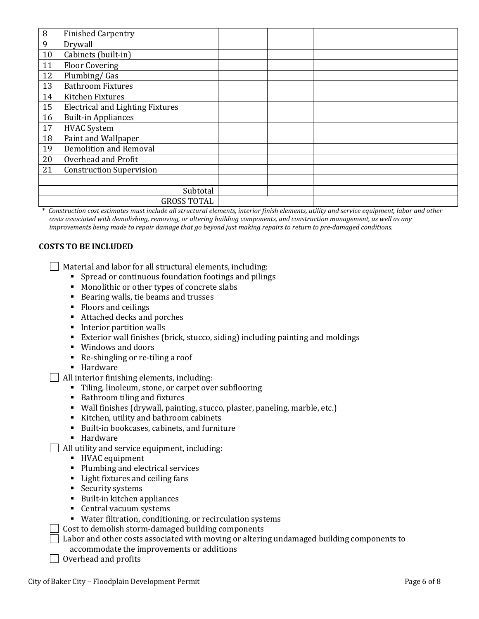| 8  | <b>Finished Carpentry</b>               |  |  |
|----|-----------------------------------------|--|--|
| 9  | Drywall                                 |  |  |
| 10 | Cabinets (built-in)                     |  |  |
| 11 | <b>Floor Covering</b>                   |  |  |
| 12 | Plumbing/Gas                            |  |  |
| 13 | <b>Bathroom Fixtures</b>                |  |  |
| 14 | Kitchen Fixtures                        |  |  |
| 15 | <b>Electrical and Lighting Fixtures</b> |  |  |
| 16 | <b>Built-in Appliances</b>              |  |  |
| 17 | <b>HVAC System</b>                      |  |  |
| 18 | Paint and Wallpaper                     |  |  |
| 19 | <b>Demolition and Removal</b>           |  |  |
| 20 | Overhead and Profit                     |  |  |
| 21 | <b>Construction Supervision</b>         |  |  |
|    |                                         |  |  |
|    | Subtotal                                |  |  |
|    | <b>GROSS TOTAL</b>                      |  |  |

\* *Construction cost estimates must include all structural elements, interior finish elements, utility and service equipment, labor and other costs associated with demolishing, removing, or altering building components, and construction management, as well as any improvements being made to repair damage that go beyond just making repairs to return to pre-damaged conditions.* 

### **COSTS TO BE INCLUDED**

Material and labor for all structural elements, including:

- Spread or continuous foundation footings and pilings
- **Monolithic or other types of concrete slabs**
- Bearing walls, tie beams and trusses
- Floors and ceilings
- Attached decks and porches
- **Interior partition walls**
- Exterior wall finishes (brick, stucco, siding) including painting and moldings
- Windows and doors
- Re-shingling or re-tiling a roof
- **-** Hardware

All interior finishing elements, including:

- Tiling, linoleum, stone, or carpet over subflooring
- Bathroom tiling and fixtures
- Wall finishes (drywall, painting, stucco, plaster, paneling, marble, etc.)
- Kitchen, utility and bathroom cabinets
- Built-in bookcases, cabinets, and furniture
- **Hardware**
- All utility and service equipment, including:
	- HVAC equipment
	- Plumbing and electrical services
	- Light fixtures and ceiling fans
	- **Security systems**
	- Built-in kitchen appliances
	- **Central vacuum systems**
	- Water filtration, conditioning, or recirculation systems
- Cost to demolish storm-damaged building components
- Labor and other costs associated with moving or altering undamaged building components to accommodate the improvements or additions
- $\Box$  Overhead and profits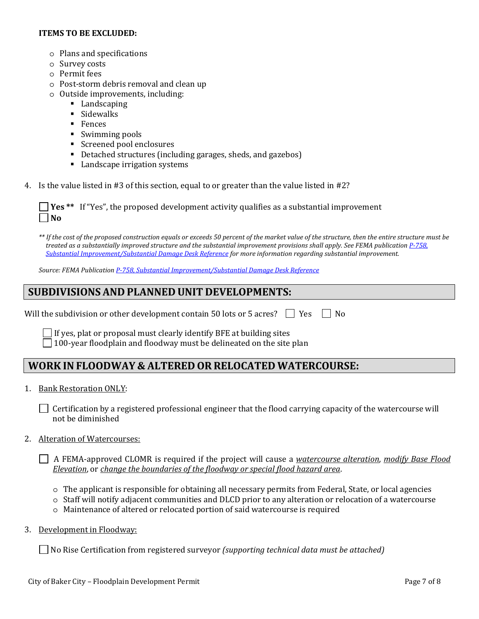#### **ITEMS TO BE EXCLUDED:**

- o Plans and specifications
- o Survey costs
- o Permit fees
- o Post-storm debris removal and clean up
- o Outside improvements, including:
	- Landscaping
	- **Sidewalks**
	- **Fences**
	- Swimming pools
	- **Screened pool enclosures**
	- Detached structures (including garages, sheds, and gazebos)
	- **Landscape irrigation systems**
- 4. Is the value listed in #3 of this section, equal to or greater than the value listed in #2?

**Yes \*\*** If "Yes", the proposed development activity qualifies as a substantial improvement  $\blacksquare$  No  $\blacksquare$ 

*\*\* If the cost of the proposed construction equals or exceeds 50 percent of the market value of the structure, then the entire structure must be treated as a substantially improved structure and the substantial improvement provisions shall apply. See FEMA publication P-758, Substantial Improvement/Substantial Damage Desk Reference for more information regarding substantial improvement.* 

*Source: FEMA Publication P-758, Substantial Improvement/Substantial Damage Desk Reference*

## **SUBDIVISIONS AND PLANNED UNIT DEVELOPMENTS:**

Will the subdivision or other development contain 50 lots or 5 acres?  $\Box$  Yes  $\Box$  No

 If yes, plat or proposal must clearly identify BFE at building sites  $\Box$  100-year floodplain and floodway must be delineated on the site plan

## **WORK INFLOODWAY & ALTERED OR RELOCATED WATERCOURSE:**

1. Bank Restoration ONLY:

 $\Box$  Certification by a registered professional engineer that the flood carrying capacity of the watercourse will not be diminished

2. Alteration of Watercourses:

 A FEMA-approved CLOMR is required if the project will cause a *watercourse alteration*, *modify Base Flood Elevation*, or *change the boundaries of the floodway or special flood hazard area*.

- o The applicant is responsible for obtaining all necessary permits from Federal, State, or local agencies
- o Staff will notify adjacent communities and DLCD prior to any alteration or relocation of a watercourse
- o Maintenance of altered or relocated portion of said watercourse is required
- 3. Development in Floodway:

No Rise Certification from registered surveyor *(supporting technical data must be attached)*